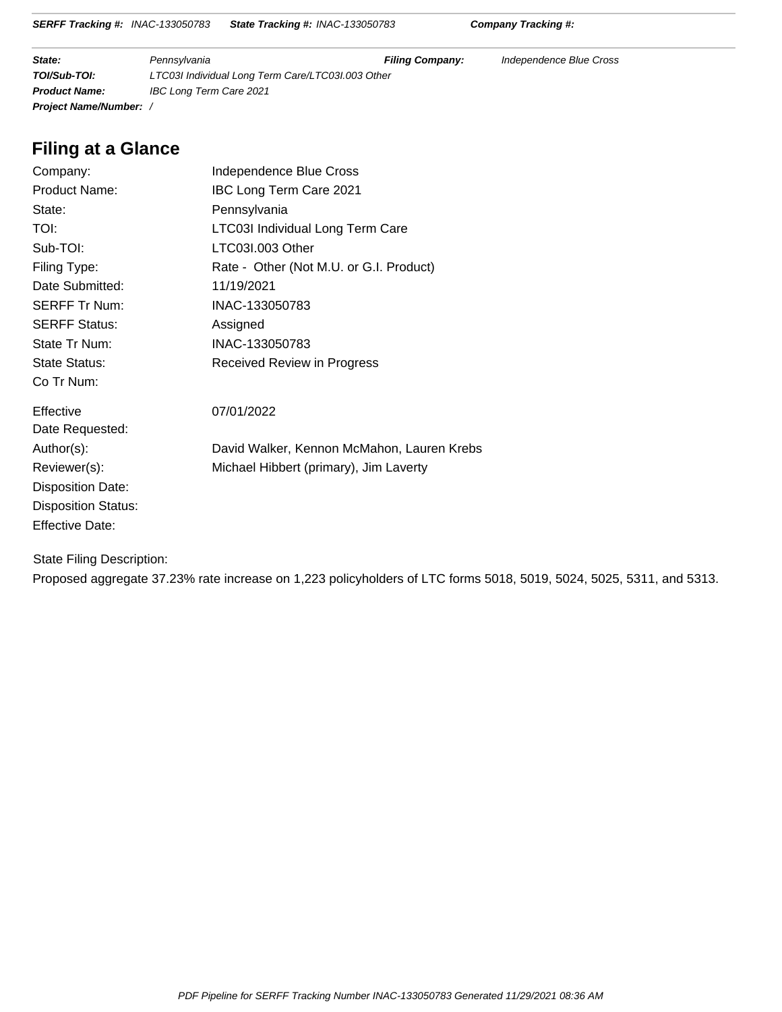**State:** Pennsylvania **Filing Company:** Independence Blue Cross **TOI/Sub-TOI:** LTC03I Individual Long Term Care/LTC03I.003 Other **Product Name:** IBC Long Term Care 2021 **Project Name/Number:** /

## **Filing at a Glance**

| Independence Blue Cross                    |
|--------------------------------------------|
| <b>IBC Long Term Care 2021</b>             |
| Pennsylvania                               |
| LTC03I Individual Long Term Care           |
| LTC03I.003 Other                           |
| Rate - Other (Not M.U. or G.I. Product)    |
| 11/19/2021                                 |
| INAC-133050783                             |
| Assigned                                   |
| INAC-133050783                             |
| Received Review in Progress                |
|                                            |
| 07/01/2022                                 |
|                                            |
| David Walker, Kennon McMahon, Lauren Krebs |
| Michael Hibbert (primary), Jim Laverty     |
|                                            |
|                                            |
|                                            |
|                                            |

State Filing Description:

Proposed aggregate 37.23% rate increase on 1,223 policyholders of LTC forms 5018, 5019, 5024, 5025, 5311, and 5313.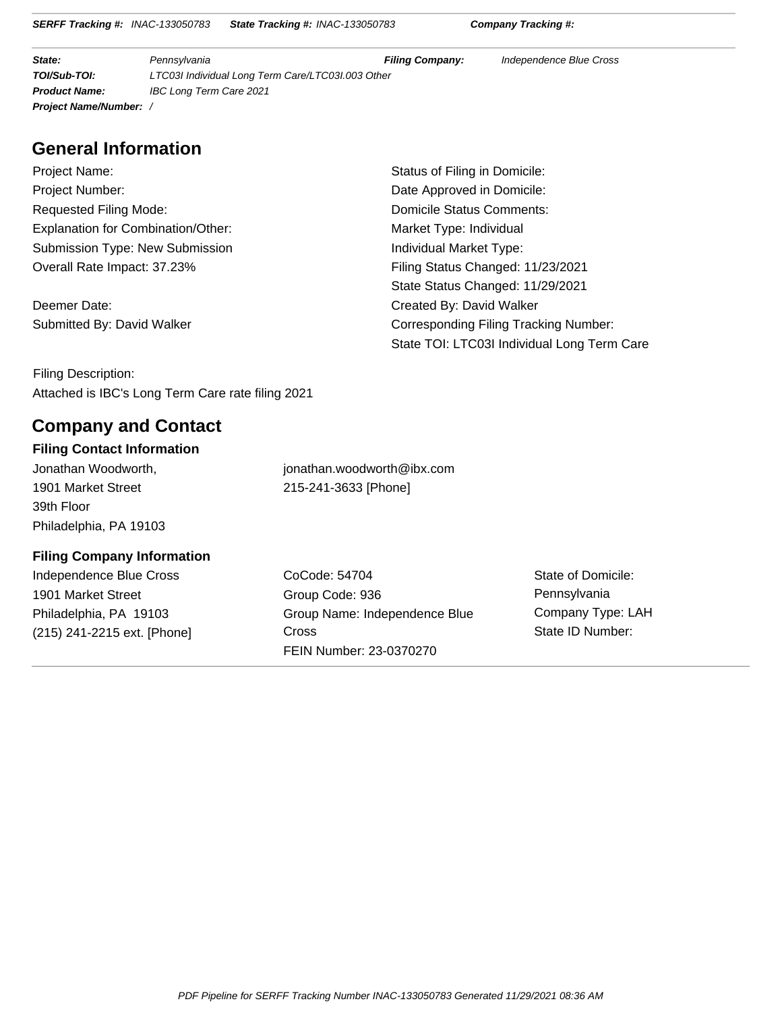**State:** Pennsylvania **Filing Company:** Independence Blue Cross **TOI/Sub-TOI:** LTC03I Individual Long Term Care/LTC03I.003 Other **Product Name:** IBC Long Term Care 2021 **Project Name/Number:** /

## **General Information**

Project Name: **Status of Filing in Domicile:** Status of Filing in Domicile: Project Number: Date Approved in Domicile: Requested Filing Mode: Note and Society And Society And Domicile Status Comments: Explanation for Combination/Other: Market Type: Individual Submission Type: New Submission **Individual Market Type:** Individual Market Type: Overall Rate Impact: 37.23% Filing Status Changed: 11/23/2021

Deemer Date: Created By: David Walker

State Status Changed: 11/29/2021 Submitted By: David Walker Corresponding Filing Tracking Number: State TOI: LTC03I Individual Long Term Care

Filing Description: Attached is IBC's Long Term Care rate filing 2021

## **Company and Contact**

#### **Filing Contact Information**

1901 Market Street 39th Floor Philadelphia, PA 19103

Jonathan Woodworth, jonathan.woodworth@ibx.com 215-241-3633 [Phone]

### **Filing Company Information**

Independence Blue Cross 1901 Market Street Philadelphia, PA 19103 (215) 241-2215 ext. [Phone]

CoCode: 54704 Group Code: 936 Group Name: Independence Blue **Cross** FEIN Number: 23-0370270

State of Domicile: Pennsylvania Company Type: LAH State ID Number: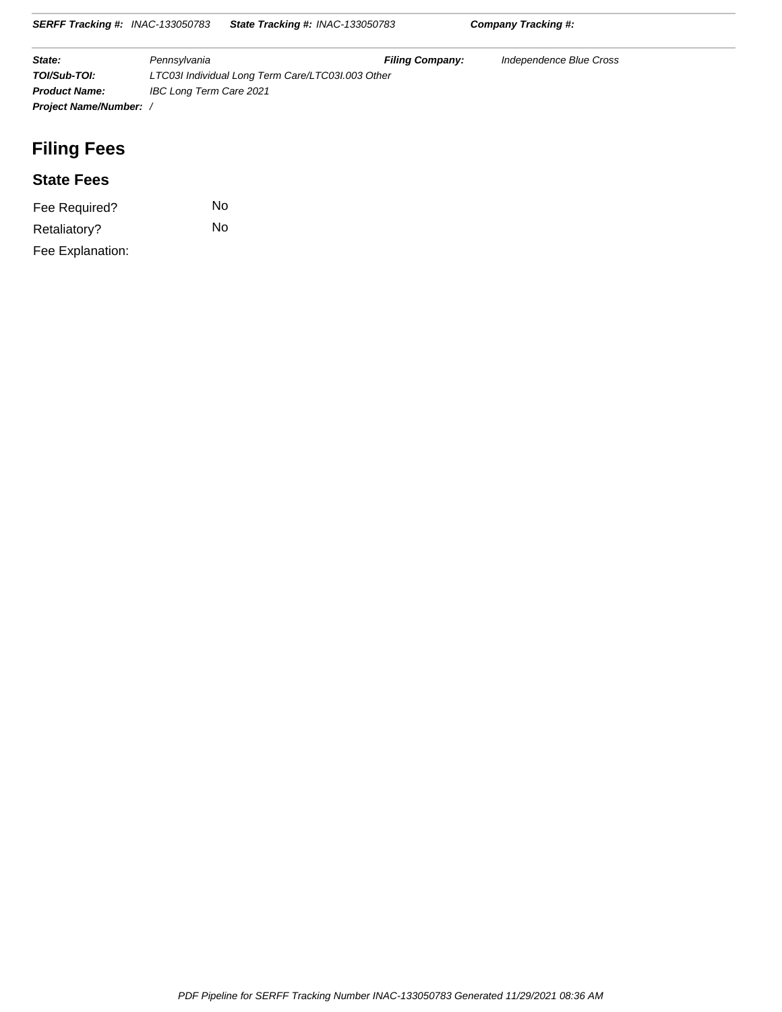| State:                      | Pennsylvania                                      | <b>Filing Company:</b> | Independence Blue Cross |  |  |
|-----------------------------|---------------------------------------------------|------------------------|-------------------------|--|--|
| TOI/Sub-TOI:                | LTC03I Individual Long Term Care/LTC03I.003 Other |                        |                         |  |  |
| <b>Product Name:</b>        | IBC Long Term Care 2021                           |                        |                         |  |  |
| <b>Project Name/Number:</b> |                                                   |                        |                         |  |  |

**SERFF Tracking #:** INAC-133050783 **State Tracking #:** INAC-133050783 **Company Tracking #:**

## **Filing Fees**

### **State Fees**

| Fee Required?    | Nο |
|------------------|----|
| Retaliatory?     | No |
| Fee Explanation: |    |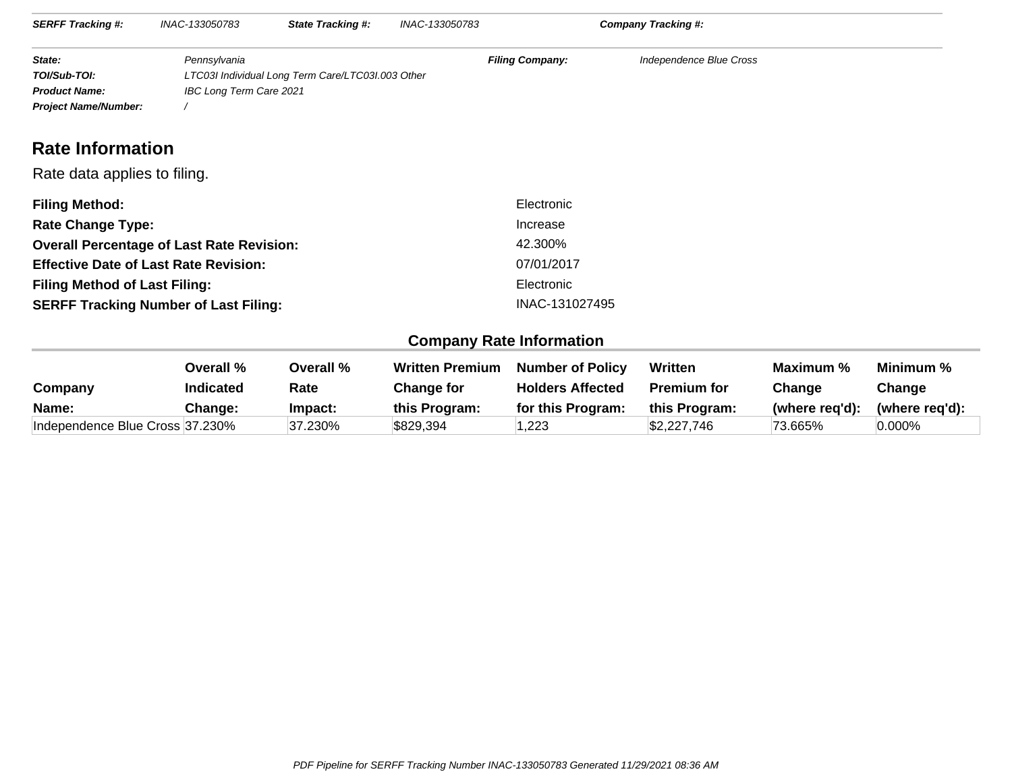| <b>SERFF Tracking #:</b>    | INAC-133050783          | <b>State Tracking #:</b>                          | INAC-133050783         | Company Tracking #:     |  |
|-----------------------------|-------------------------|---------------------------------------------------|------------------------|-------------------------|--|
|                             |                         |                                                   |                        |                         |  |
| State:                      | Pennsylvania            |                                                   | <b>Filing Company:</b> | Independence Blue Cross |  |
| TOI/Sub-TOI:                |                         | LTC03I Individual Long Term Care/LTC03I.003 Other |                        |                         |  |
| <b>Product Name:</b>        | IBC Long Term Care 2021 |                                                   |                        |                         |  |
| <b>Project Name/Number:</b> |                         |                                                   |                        |                         |  |

## **Rate Information**

#### Rate data applies to filing.

| <b>Filing Method:</b>                            | Electronic     |
|--------------------------------------------------|----------------|
| <b>Rate Change Type:</b>                         | Increase       |
| <b>Overall Percentage of Last Rate Revision:</b> | 42.300%        |
| <b>Effective Date of Last Rate Revision:</b>     | 07/01/2017     |
| <b>Filing Method of Last Filing:</b>             | Electronic     |
| <b>SERFF Tracking Number of Last Filing:</b>     | INAC-131027495 |

### **Company Rate Information**

| Company                         | Overall %<br><b>Indicated</b> | Overall %<br>Rate | <b>Written Premium</b><br>Change for | <b>Number of Policy</b><br><b>Holders Affected</b> | Written<br><b>Premium for</b> | Maximum %<br>Change | Minimum %<br>Change |
|---------------------------------|-------------------------------|-------------------|--------------------------------------|----------------------------------------------------|-------------------------------|---------------------|---------------------|
| Name:                           | Change:                       | Impact:           | this Program:                        | for this Program:                                  | this Program:                 | (where reg'd):      | (where reg'd):      |
| Independence Blue Cross 37.230% |                               | 37.230%           | \$829,394                            | ,223                                               | \$2,227,746                   | 73.665%             | $0.000\%$           |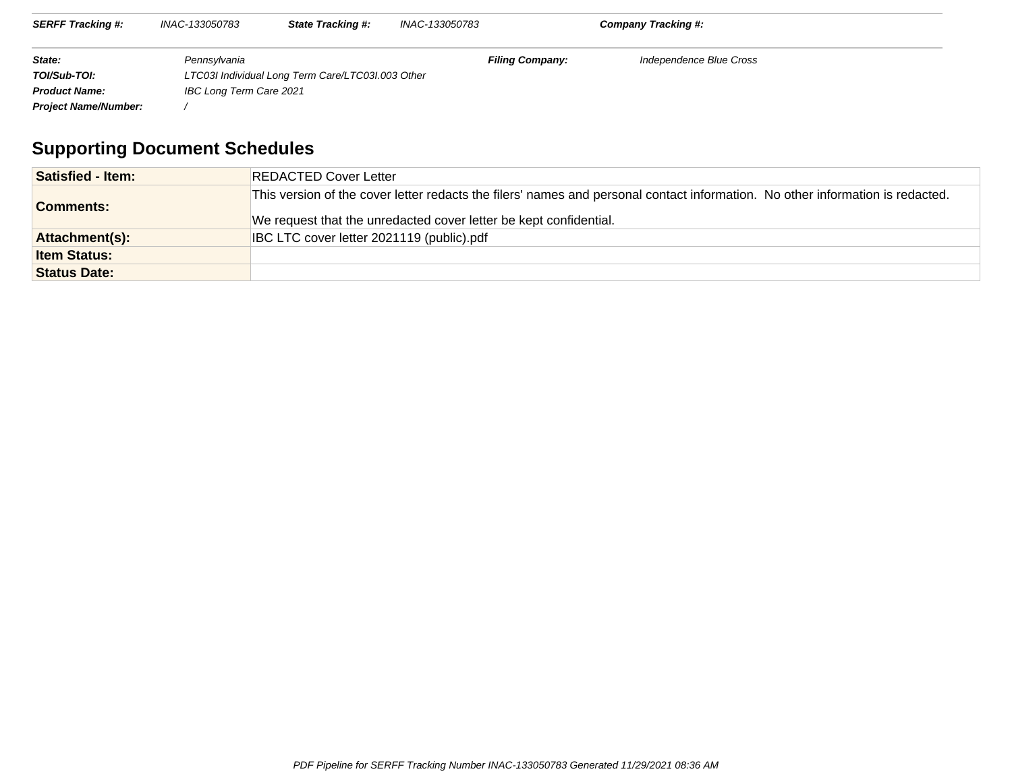| <b>SERFF Tracking #:</b>    | INAC-133050783          | <b>State Tracking #:</b>                          | INAC-133050783 |                        | <b>Company Tracking #:</b> |  |
|-----------------------------|-------------------------|---------------------------------------------------|----------------|------------------------|----------------------------|--|
| State:                      | Pennsylvania            |                                                   |                | <b>Filing Company:</b> | Independence Blue Cross    |  |
| TOI/Sub-TOI:                |                         | LTC03I Individual Long Term Care/LTC03I.003 Other |                |                        |                            |  |
| <b>Product Name:</b>        | IBC Long Term Care 2021 |                                                   |                |                        |                            |  |
| <b>Project Name/Number:</b> |                         |                                                   |                |                        |                            |  |

# **Supporting Document Schedules**

| <b>Satisfied - Item:</b> | <b>REDACTED Cover Letter</b>                                                                                                                                                                        |
|--------------------------|-----------------------------------------------------------------------------------------------------------------------------------------------------------------------------------------------------|
| <b>Comments:</b>         | This version of the cover letter redacts the filers' names and personal contact information. No other information is redacted.<br>We request that the unredacted cover letter be kept confidential. |
| Attachment(s):           | IBC LTC cover letter 2021119 (public).pdf                                                                                                                                                           |
| <b>Item Status:</b>      |                                                                                                                                                                                                     |
| <b>Status Date:</b>      |                                                                                                                                                                                                     |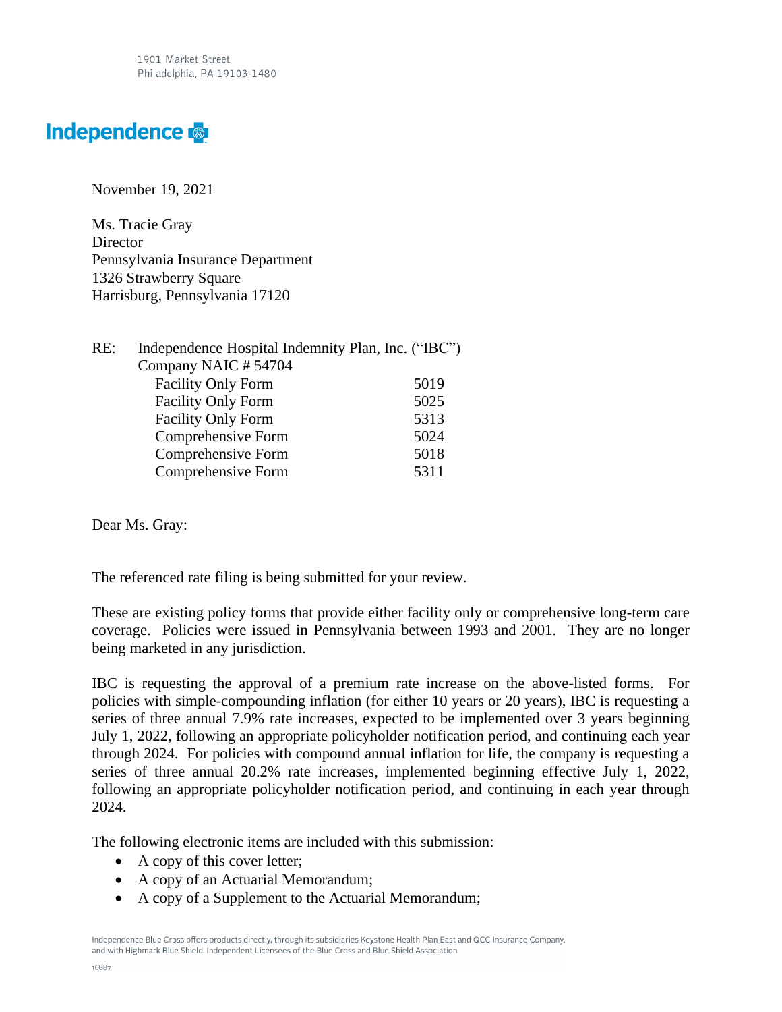1901 Market Street Philadelphia, PA 19103-1480

# Independence &

November 19, 2021

Ms. Tracie Gray **Director** Pennsylvania Insurance Department 1326 Strawberry Square Harrisburg, Pennsylvania 17120

| RE: | Independence Hospital Indemnity Plan, Inc. ("IBC") |      |
|-----|----------------------------------------------------|------|
|     | Company NAIC #54704                                |      |
|     | <b>Facility Only Form</b>                          | 5019 |
|     | <b>Facility Only Form</b>                          | 5025 |
|     | <b>Facility Only Form</b>                          | 5313 |
|     | Comprehensive Form                                 | 5024 |
|     | Comprehensive Form                                 | 5018 |
|     | Comprehensive Form                                 | 5311 |

Dear Ms. Gray:

The referenced rate filing is being submitted for your review.

These are existing policy forms that provide either facility only or comprehensive long-term care coverage. Policies were issued in Pennsylvania between 1993 and 2001. They are no longer being marketed in any jurisdiction.

IBC is requesting the approval of a premium rate increase on the above-listed forms. For policies with simple-compounding inflation (for either 10 years or 20 years), IBC is requesting a series of three annual 7.9% rate increases, expected to be implemented over 3 years beginning July 1, 2022, following an appropriate policyholder notification period, and continuing each year through 2024. For policies with compound annual inflation for life, the company is requesting a series of three annual 20.2% rate increases, implemented beginning effective July 1, 2022, following an appropriate policyholder notification period, and continuing in each year through 2024.

The following electronic items are included with this submission:

- A copy of this cover letter;
- A copy of an Actuarial Memorandum;
- A copy of a Supplement to the Actuarial Memorandum;

Independence Blue Cross offers products directly, through its subsidiaries Keystone Health Plan East and QCC Insurance Company, and with Highmark Blue Shield. Independent Licensees of the Blue Cross and Blue Shield Association.